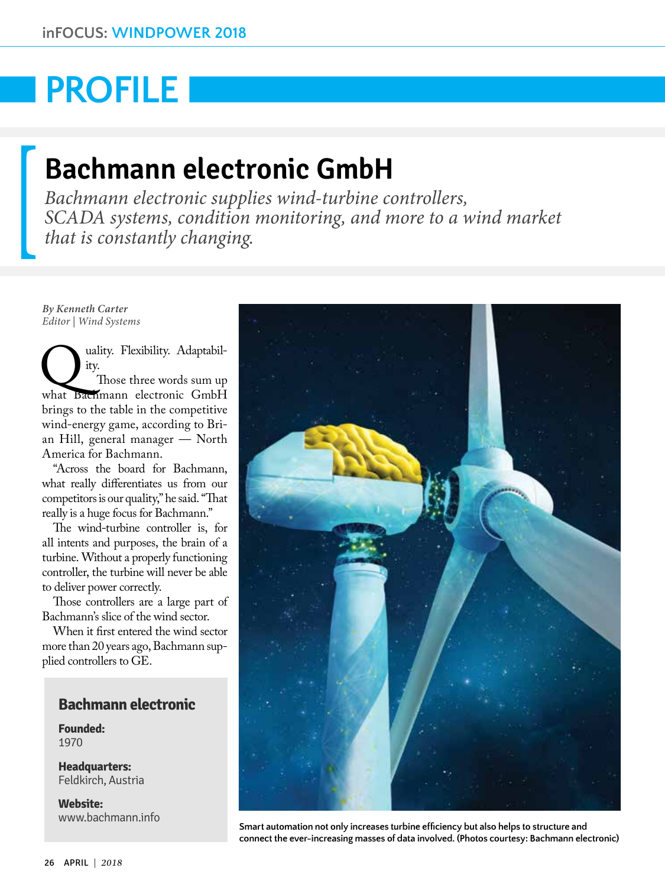# **PROFILE**

# **Bachmann electronic GmbH**

*Bachmann electronic supplies wind-turbine controllers, SCADA systems, condition monitoring, and more to a wind market that is constantly changing.*

*By Kenneth Carter Editor | Wind Systems*

Wality. Flexibility. Adaptabil-<br>
Those three words sum up<br>
what Bachmann electronic GmbH ity. Those three words sum up brings to the table in the competitive wind-energy game, according to Brian Hill, general manager — North America for Bachmann.

"Across the board for Bachmann, what really differentiates us from our competitors is our quality," he said. "That really is a huge focus for Bachmann."

The wind-turbine controller is, for all intents and purposes, the brain of a turbine. Without a properly functioning controller, the turbine will never be able to deliver power correctly.

Those controllers are a large part of Bachmann's slice of the wind sector.

When it first entered the wind sector more than 20 years ago, Bachmann supplied controllers to GE.

# **Bachmann electronic**

**Founded:** 1970

**Headquarters:**  Feldkirch, Austria

**Website:**  [www.bachmann.info](http://www.bachmann.info)



**Smart automation not only increases turbine efficiency but also helps to structure and connect the ever-increasing masses of data involved. (Photos courtesy: Bachmann electronic)**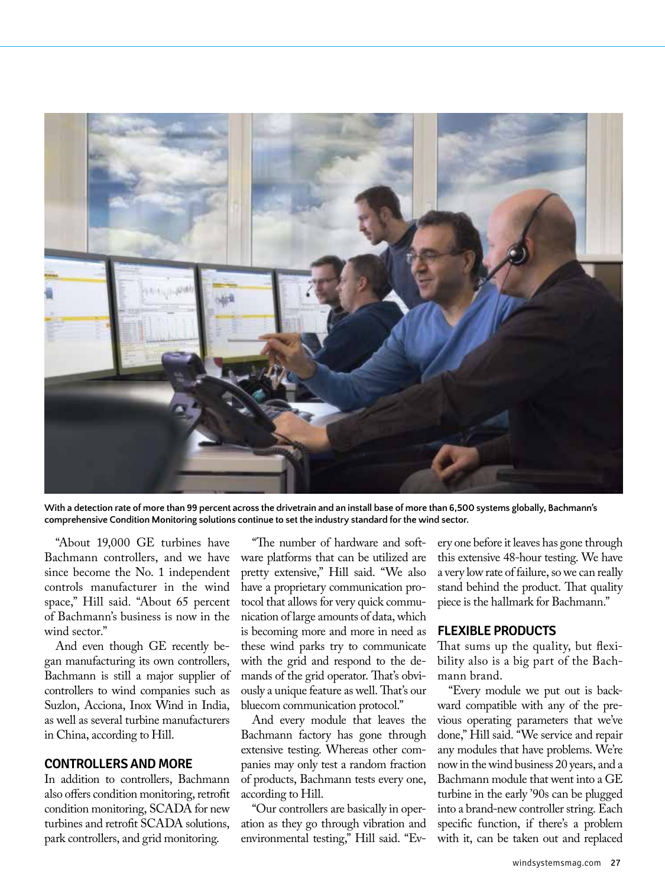

**With a detection rate of more than 99 percent across the drivetrain and an install base of more than 6,500 systems globally, Bachmann's comprehensive Condition Monitoring solutions continue to set the industry standard for the wind sector.**

"About 19,000 GE turbines have Bachmann controllers, and we have since become the No. 1 independent controls manufacturer in the wind space," Hill said. "About 65 percent of Bachmann's business is now in the wind sector."

And even though GE recently began manufacturing its own controllers, Bachmann is still a major supplier of controllers to wind companies such as Suzlon, Acciona, Inox Wind in India, as well as several turbine manufacturers in China, according to Hill.

## **CONTROLLERS AND MORE**

In addition to controllers, Bachmann also offers condition monitoring, retrofit condition monitoring, SCADA for new turbines and retrofit SCADA solutions, park controllers, and grid monitoring.

"The number of hardware and software platforms that can be utilized are pretty extensive," Hill said. "We also have a proprietary communication protocol that allows for very quick communication of large amounts of data, which is becoming more and more in need as these wind parks try to communicate with the grid and respond to the demands of the grid operator. That's obviously a unique feature as well. That's our bluecom communication protocol."

And every module that leaves the Bachmann factory has gone through extensive testing. Whereas other companies may only test a random fraction of products, Bachmann tests every one, according to Hill.

"Our controllers are basically in operation as they go through vibration and environmental testing," Hill said. "Every one before it leaves has gone through this extensive 48-hour testing. We have a very low rate of failure, so we can really stand behind the product. That quality piece is the hallmark for Bachmann."

#### **FLEXIBLE PRODUCTS**

That sums up the quality, but flexibility also is a big part of the Bachmann brand.

"Every module we put out is backward compatible with any of the previous operating parameters that we've done," Hill said. "We service and repair any modules that have problems. We're now in the wind business 20 years, and a Bachmann module that went into a GE turbine in the early '90s can be plugged into a brand-new controller string. Each specific function, if there's a problem with it, can be taken out and replaced